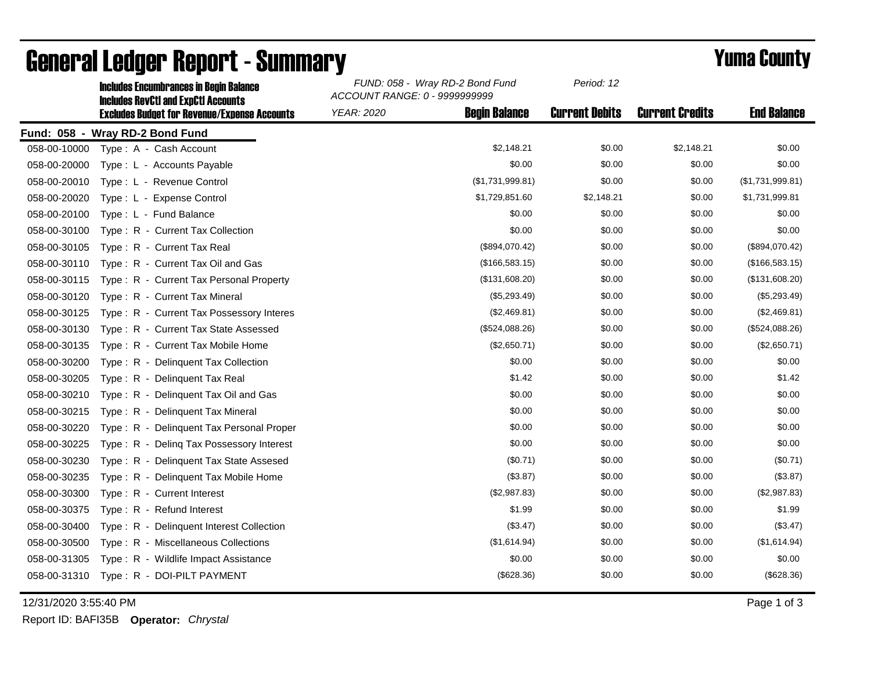|              | <u>Inciques Encumulances In Deuin Daiance</u><br><b>Includes RevCtI and ExpCtI Accounts</b> | ACCOUNT RANGE: 0 - 9999999999 |                      |                       |                        |                    |
|--------------|---------------------------------------------------------------------------------------------|-------------------------------|----------------------|-----------------------|------------------------|--------------------|
|              | <b>Excludes Budget for Revenue/Expense Accounts</b>                                         | YEAR: 2020                    | <b>Begin Balance</b> | <b>Current Debits</b> | <b>Current Credits</b> | <b>End Balance</b> |
|              | Fund: 058 - Wray RD-2 Bond Fund                                                             |                               |                      |                       |                        |                    |
| 058-00-10000 | Type: A - Cash Account                                                                      |                               | \$2,148.21           | \$0.00                | \$2,148.21             | \$0.00             |
| 058-00-20000 | Type : L - Accounts Payable                                                                 |                               | \$0.00               | \$0.00                | \$0.00                 | \$0.00             |
| 058-00-20010 | Type: L - Revenue Control                                                                   |                               | (\$1,731,999.81)     | \$0.00                | \$0.00                 | (\$1,731,999.81)   |
| 058-00-20020 | Type: L - Expense Control                                                                   |                               | \$1,729,851.60       | \$2,148.21            | \$0.00                 | \$1,731,999.81     |
| 058-00-20100 | Type: L - Fund Balance                                                                      |                               | \$0.00               | \$0.00                | \$0.00                 | \$0.00             |
| 058-00-30100 | Type: R - Current Tax Collection                                                            |                               | \$0.00               | \$0.00                | \$0.00                 | \$0.00             |
| 058-00-30105 | Type: R - Current Tax Real                                                                  |                               | (\$894,070.42)       | \$0.00                | \$0.00                 | (\$894,070.42)     |
| 058-00-30110 | Type: R - Current Tax Oil and Gas                                                           |                               | (\$166,583.15)       | \$0.00                | \$0.00                 | (\$166,583.15)     |
| 058-00-30115 | Type: R - Current Tax Personal Property                                                     |                               | (\$131,608.20)       | \$0.00                | \$0.00                 | (\$131,608.20)     |
| 058-00-30120 | Type: R - Current Tax Mineral                                                               |                               | (\$5,293.49)         | \$0.00                | \$0.00                 | (\$5,293.49)       |
| 058-00-30125 | Type: R - Current Tax Possessory Interes                                                    |                               | (\$2,469.81)         | \$0.00                | \$0.00                 | (\$2,469.81)       |
| 058-00-30130 | Type: R - Current Tax State Assessed                                                        |                               | (\$524,088.26)       | \$0.00                | \$0.00                 | (\$524,088.26)     |
| 058-00-30135 | Type: R - Current Tax Mobile Home                                                           |                               | (\$2,650.71)         | \$0.00                | \$0.00                 | (\$2,650.71)       |
| 058-00-30200 | Type: R - Delinquent Tax Collection                                                         |                               | \$0.00               | \$0.00                | \$0.00                 | \$0.00             |
| 058-00-30205 | Type: R - Delinguent Tax Real                                                               |                               | \$1.42               | \$0.00                | \$0.00                 | \$1.42             |
| 058-00-30210 | Type: R - Delinquent Tax Oil and Gas                                                        |                               | \$0.00               | \$0.00                | \$0.00                 | \$0.00             |
| 058-00-30215 | Type: R - Delinquent Tax Mineral                                                            |                               | \$0.00               | \$0.00                | \$0.00                 | \$0.00             |
| 058-00-30220 | Type: R - Delinquent Tax Personal Proper                                                    |                               | \$0.00               | \$0.00                | \$0.00                 | \$0.00             |
| 058-00-30225 | Type: R - Deling Tax Possessory Interest                                                    |                               | \$0.00               | \$0.00                | \$0.00                 | \$0.00             |
| 058-00-30230 | Type: R - Delinquent Tax State Assesed                                                      |                               | (\$0.71)             | \$0.00                | \$0.00                 | (\$0.71)           |
| 058-00-30235 | Type: R - Delinquent Tax Mobile Home                                                        |                               | (\$3.87)             | \$0.00                | \$0.00                 | (\$3.87)           |
| 058-00-30300 | Type: R - Current Interest                                                                  |                               | (\$2,987.83)         | \$0.00                | \$0.00                 | (\$2,987.83)       |
| 058-00-30375 | Type: R - Refund Interest                                                                   |                               | \$1.99               | \$0.00                | \$0.00                 | \$1.99             |
| 058-00-30400 | Type: R - Delinquent Interest Collection                                                    |                               | (\$3.47)             | \$0.00                | \$0.00                 | (\$3.47)           |
| 058-00-30500 | Type: R - Miscellaneous Collections                                                         |                               | (\$1,614.94)         | \$0.00                | \$0.00                 | (\$1,614.94)       |
| 058-00-31305 | Type: R - Wildlife Impact Assistance                                                        |                               | \$0.00               | \$0.00                | \$0.00                 | \$0.00             |
|              | 058-00-31310 Type: R - DOI-PILT PAYMENT                                                     |                               | (\$628.36)           | \$0.00                | \$0.00                 | (\$628.36)         |
|              |                                                                                             |                               |                      |                       |                        |                    |

## General Ledger Report - Summary **Example 2018** Yuma County

Includes Encumbrances in Begin Balance *FUND: 058 - Wray RD-2 Bond Fund*

12/31/2020 3:55:40 PM Page 1 of 3

Report ID: BAFI35B **Operator:** *Chrystal*

*Period: 12*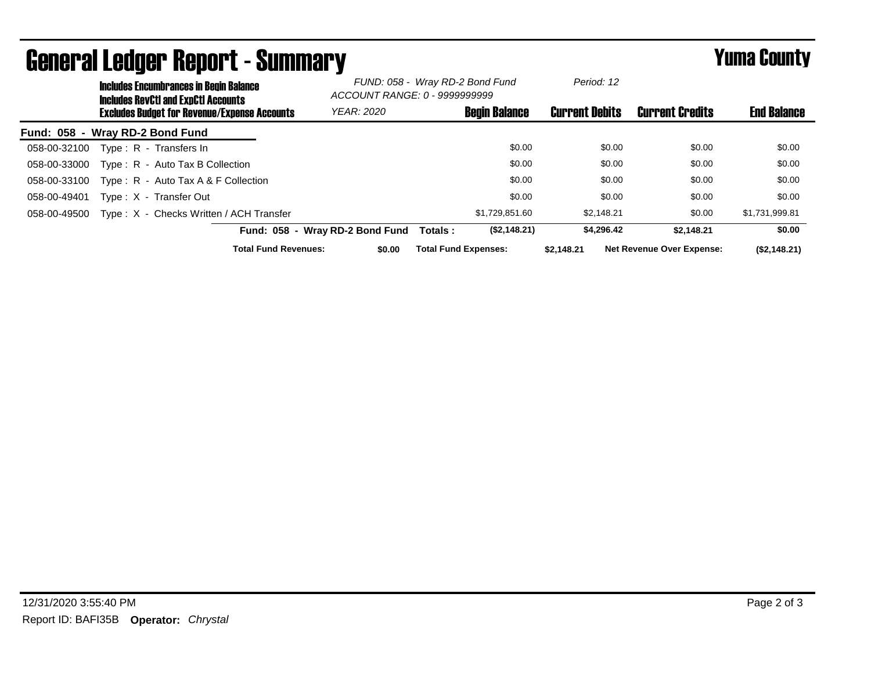|                                 | <b>Includes Encumbrances in Begin Balance</b><br><b>Includes RevCtI and ExpCtI Accounts</b><br><b>Excludes Budget for Revenue/Expense Accounts</b> |                                         | FUND: 058 - Wray RD-2 Bond Fund<br>ACCOUNT RANGE: 0 - 9999999999 |                             | Period: 12            |                                  |                    |
|---------------------------------|----------------------------------------------------------------------------------------------------------------------------------------------------|-----------------------------------------|------------------------------------------------------------------|-----------------------------|-----------------------|----------------------------------|--------------------|
|                                 |                                                                                                                                                    |                                         | <b>YEAR: 2020</b>                                                | <b>Begin Balance</b>        | <b>Current Debits</b> | <b>Current Credits</b>           | <b>End Balance</b> |
| Fund: 058 - Wray RD-2 Bond Fund |                                                                                                                                                    |                                         |                                                                  |                             |                       |                                  |                    |
| 058-00-32100                    |                                                                                                                                                    | Type: R - Transfers In                  |                                                                  | \$0.00                      | \$0.00                | \$0.00                           | \$0.00             |
| 058-00-33000                    |                                                                                                                                                    | Type: R - Auto Tax B Collection         |                                                                  | \$0.00                      | \$0.00                | \$0.00                           | \$0.00             |
| 058-00-33100                    |                                                                                                                                                    | Type: $R -$ Auto Tax A & F Collection   |                                                                  | \$0.00                      | \$0.00                | \$0.00                           | \$0.00             |
| 058-00-49401                    |                                                                                                                                                    | Type: X - Transfer Out                  |                                                                  | \$0.00                      | \$0.00                | \$0.00                           | \$0.00             |
| 058-00-49500                    |                                                                                                                                                    | Type: X - Checks Written / ACH Transfer |                                                                  | \$1,729,851.60              | \$2.148.21            | \$0.00                           | \$1,731,999.81     |
|                                 |                                                                                                                                                    |                                         | Fund: 058 - Wray RD-2 Bond Fund                                  | (S2, 148.21)<br>Totals :    | \$4,296.42            | \$2.148.21                       | \$0.00             |
|                                 |                                                                                                                                                    | <b>Total Fund Revenues:</b>             | \$0.00                                                           | <b>Total Fund Expenses:</b> | \$2,148.21            | <b>Net Revenue Over Expense:</b> | (\$2,148.21)       |

## General Ledger Report - Summary **Example 2018** Yuma County